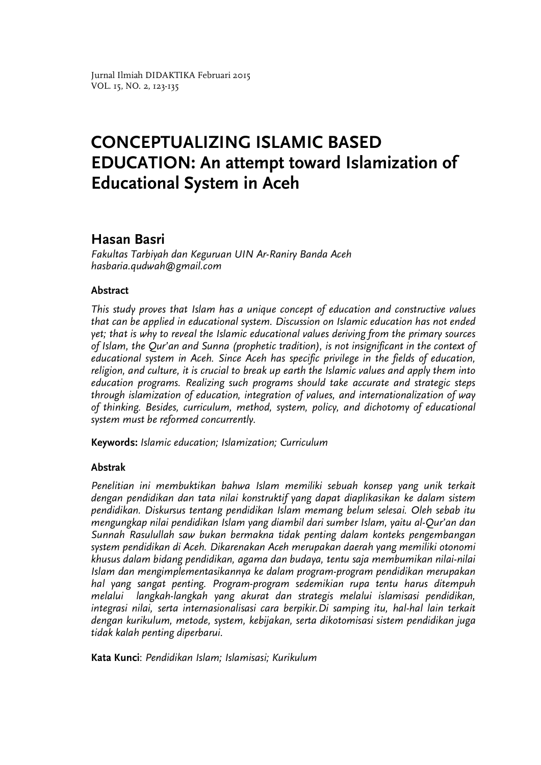# **Hasan Basri**

*Fakultas Tarbiyah dan Keguruan UIN Ar-Raniry Banda Aceh hasbaria.qudwah@gmail.com*

# **Abstract**

*This study proves that Islam has a unique concept of education and constructive values that can be applied in educational system. Discussion on Islamic education has not ended yet; that is why to reveal the Islamic educational values deriving from the primary sources of Islam, the Qur'an and Sunna (prophetic tradition), is not insignificant in the context of educational system in Aceh. Since Aceh has specific privilege in the fields of education, religion, and culture, it is crucial to break up earth the Islamic values and apply them into education programs. Realizing such programs should take accurate and strategic steps through islamization of education, integration of values, and internationalization of way of thinking. Besides, curriculum, method, system, policy, and dichotomy of educational system must be reformed concurrently.* 

**Keywords:** *Islamic education; Islamization; Curriculum*

# **Abstrak**

*Penelitian ini membuktikan bahwa Islam memiliki sebuah konsep yang unik terkait dengan pendidikan dan tata nilai konstruktif yang dapat diaplikasikan ke dalam sistem pendidikan. Diskursus tentang pendidikan Islam memang belum selesai. Oleh sebab itu mengungkap nilai pendidikan Islam yang diambil dari sumber Islam, yaitu al-Qur'an dan Sunnah Rasulullah saw bukan bermakna tidak penting dalam konteks pengembangan system pendidikan di Aceh. Dikarenakan Aceh merupakan daerah yang memiliki otonomi khusus dalam bidang pendidikan, agama dan budaya, tentu saja membumikan nilai-nilai Islam dan mengimplementasikannya ke dalam program-program pendidikan merupakan hal yang sangat penting. Program-program sedemikian rupa tentu harus ditempuh melalui langkah-langkah yang akurat dan strategis melalui islamisasi pendidikan, integrasi nilai, serta internasionalisasi cara berpikir.Di samping itu, hal-hal lain terkait dengan kurikulum, metode, system, kebijakan, serta dikotomisasi sistem pendidikan juga tidak kalah penting diperbarui.*

**Kata Kunci**: *Pendidikan Islam; Islamisasi; Kurikulum*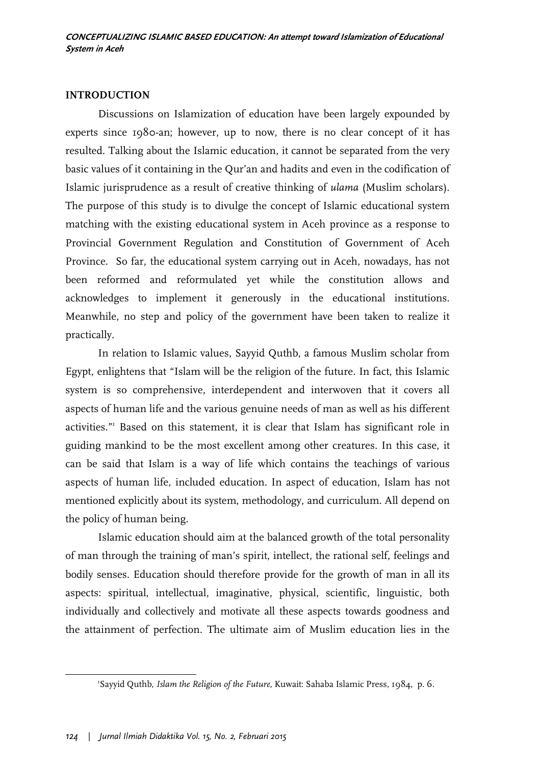# **INTRODUCTION**

Discussions on Islamization of education have been largely expounded by experts since 1980-an; however, up to now, there is no clear concept of it has resulted. Talking about the Islamic education, it cannot be separated from the very basic values of it containing in the Qur'an and hadits and even in the codification of Islamic jurisprudence as a result of creative thinking of *ulama* (Muslim scholars). The purpose of this study is to divulge the concept of Islamic educational system matching with the existing educational system in Aceh province as a response to Provincial Government Regulation and Constitution of Government of Aceh Province. So far, the educational system carrying out in Aceh, nowadays, has not been reformed and reformulated yet while the constitution allows and acknowledges to implement it generously in the educational institutions. Meanwhile, no step and policy of the government have been taken to realize it practically.

In relation to Islamic values, Sayyid Quthb, a famous Muslim scholar from Egypt, enlightens that "Islam will be the religion of the future. In fact, this Islamic system is so comprehensive, interdependent and interwoven that it covers all aspects of human life and the various genuine needs of man as well as his different activities."1 Based on this statement, it is clear that Islam has significant role in guiding mankind to be the most excellent among other creatures. In this case, it can be said that Islam is a way of life which contains the teachings of various aspects of human life, included education. In aspect of education, Islam has not mentioned explicitly about its system, methodology, and curriculum. All depend on the policy of human being.

Islamic education should aim at the balanced growth of the total personality of man through the training of man's spirit, intellect, the rational self, feelings and bodily senses. Education should therefore provide for the growth of man in all its aspects: spiritual, intellectual, imaginative, physical, scientific, linguistic, both individually and collectively and motivate all these aspects towards goodness and the attainment of perfection. The ultimate aim of Muslim education lies in the

**.** 

<sup>1</sup> Sayyid Quthb, *Islam the Religion of the Future,* Kuwait: Sahaba Islamic Press, 1984, p. 6.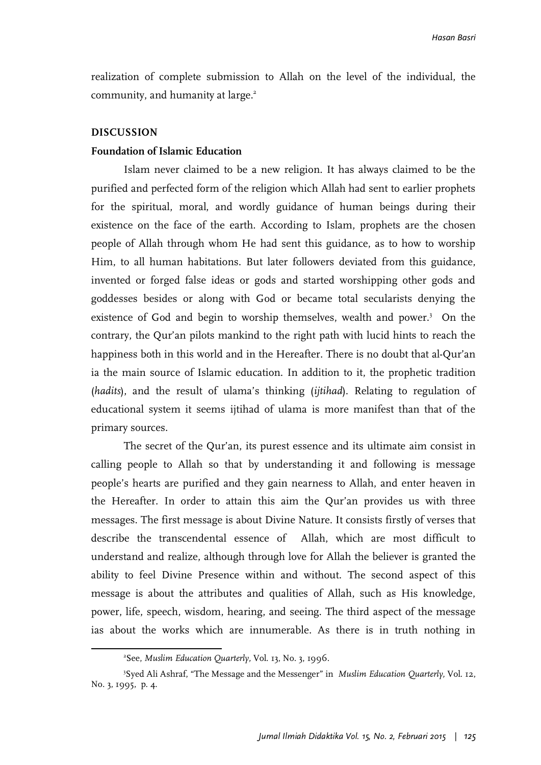realization of complete submission to Allah on the level of the individual, the community, and humanity at large.<sup>2</sup>

#### **DISCUSSION**

 $\overline{a}$ 

#### **Foundation of Islamic Education**

Islam never claimed to be a new religion. It has always claimed to be the purified and perfected form of the religion which Allah had sent to earlier prophets for the spiritual, moral, and wordly guidance of human beings during their existence on the face of the earth. According to Islam, prophets are the chosen people of Allah through whom He had sent this guidance, as to how to worship Him, to all human habitations. But later followers deviated from this guidance, invented or forged false ideas or gods and started worshipping other gods and goddesses besides or along with God or became total secularists denying the existence of God and begin to worship themselves, wealth and power.<sup>3</sup> On the contrary, the Qur'an pilots mankind to the right path with lucid hints to reach the happiness both in this world and in the Hereafter. There is no doubt that al-Qur'an ia the main source of Islamic education. In addition to it, the prophetic tradition (*hadits*), and the result of ulama's thinking (*ijtihad*). Relating to regulation of educational system it seems ijtihad of ulama is more manifest than that of the primary sources.

The secret of the Qur'an, its purest essence and its ultimate aim consist in calling people to Allah so that by understanding it and following is message people's hearts are purified and they gain nearness to Allah, and enter heaven in the Hereafter. In order to attain this aim the Qur'an provides us with three messages. The first message is about Divine Nature. It consists firstly of verses that describe the transcendental essence of Allah, which are most difficult to understand and realize, although through love for Allah the believer is granted the ability to feel Divine Presence within and without. The second aspect of this message is about the attributes and qualities of Allah, such as His knowledge, power, life, speech, wisdom, hearing, and seeing. The third aspect of the message ias about the works which are innumerable. As there is in truth nothing in

<sup>2</sup> See, *Muslim Education Quarterly,* Vol. 13, No. 3, 1996.

<sup>3</sup> Syed Ali Ashraf, "The Message and the Messenger" in *Muslim Education Quarterly,* Vol. 12, No. 3, 1995, p. 4.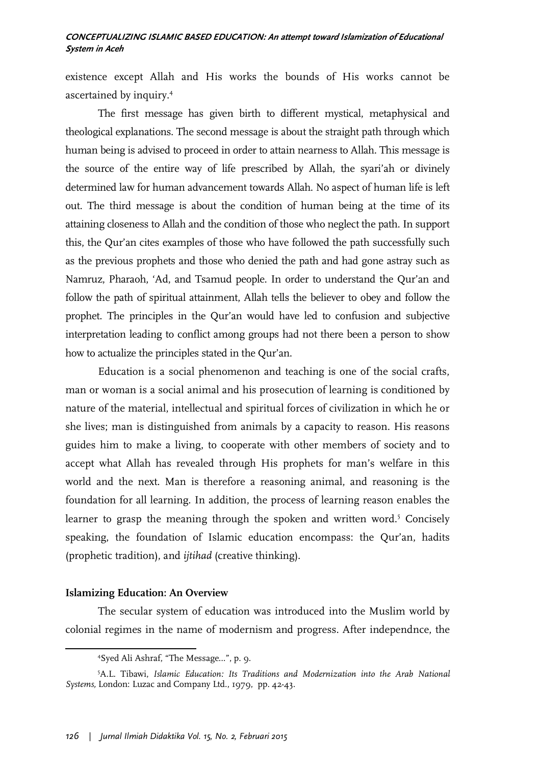existence except Allah and His works the bounds of His works cannot be ascertained by inquiry.4

The first message has given birth to different mystical, metaphysical and theological explanations. The second message is about the straight path through which human being is advised to proceed in order to attain nearness to Allah. This message is the source of the entire way of life prescribed by Allah, the syari'ah or divinely determined law for human advancement towards Allah. No aspect of human life is left out. The third message is about the condition of human being at the time of its attaining closeness to Allah and the condition of those who neglect the path. In support this, the Qur'an cites examples of those who have followed the path successfully such as the previous prophets and those who denied the path and had gone astray such as Namruz, Pharaoh, 'Ad, and Tsamud people. In order to understand the Qur'an and follow the path of spiritual attainment, Allah tells the believer to obey and follow the prophet. The principles in the Qur'an would have led to confusion and subjective interpretation leading to conflict among groups had not there been a person to show how to actualize the principles stated in the Qur'an.

Education is a social phenomenon and teaching is one of the social crafts, man or woman is a social animal and his prosecution of learning is conditioned by nature of the material, intellectual and spiritual forces of civilization in which he or she lives; man is distinguished from animals by a capacity to reason. His reasons guides him to make a living, to cooperate with other members of society and to accept what Allah has revealed through His prophets for man's welfare in this world and the next. Man is therefore a reasoning animal, and reasoning is the foundation for all learning. In addition, the process of learning reason enables the learner to grasp the meaning through the spoken and written word.<sup>5</sup> Concisely speaking, the foundation of Islamic education encompass: the Qur'an, hadits (prophetic tradition), and *ijtihad* (creative thinking).

#### **Islamizing Education: An Overview**

-

The secular system of education was introduced into the Muslim world by colonial regimes in the name of modernism and progress. After independnce, the

<sup>4</sup> Syed Ali Ashraf, "The Message…", p. 9.

<sup>5</sup> A.L. Tibawi, *Islamic Education: Its Traditions and Modernization into the Arab National Systems,* London: Luzac and Company Ltd., 1979, pp. 42-43.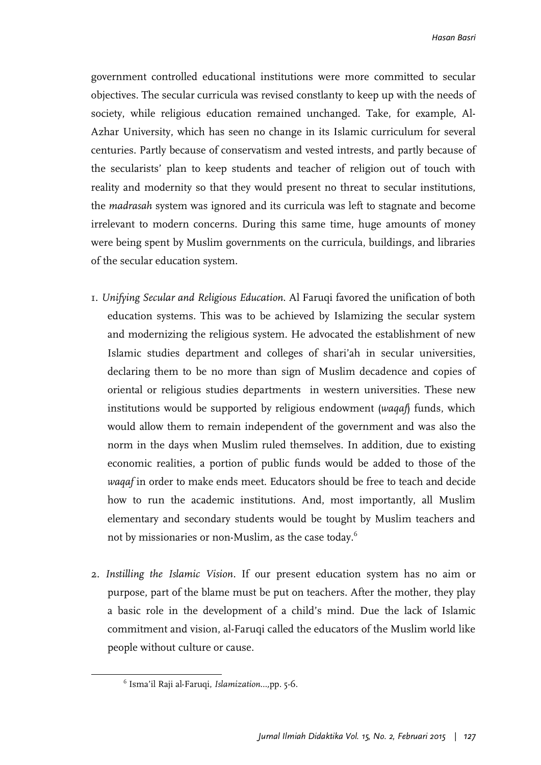government controlled educational institutions were more committed to secular objectives. The secular curricula was revised constlanty to keep up with the needs of society, while religious education remained unchanged. Take, for example, Al-Azhar University, which has seen no change in its Islamic curriculum for several centuries. Partly because of conservatism and vested intrests, and partly because of the secularists' plan to keep students and teacher of religion out of touch with reality and modernity so that they would present no threat to secular institutions, the *madrasah* system was ignored and its curricula was left to stagnate and become irrelevant to modern concerns. During this same time, huge amounts of money were being spent by Muslim governments on the curricula, buildings, and libraries of the secular education system.

- 1. *Unifying Secular and Religious Education*. Al Faruqi favored the unification of both education systems. This was to be achieved by Islamizing the secular system and modernizing the religious system. He advocated the establishment of new Islamic studies department and colleges of shari'ah in secular universities, declaring them to be no more than sign of Muslim decadence and copies of oriental or religious studies departments in western universities. These new institutions would be supported by religious endowment (*waqaf*) funds, which would allow them to remain independent of the government and was also the norm in the days when Muslim ruled themselves. In addition, due to existing economic realities, a portion of public funds would be added to those of the *waqaf* in order to make ends meet. Educators should be free to teach and decide how to run the academic institutions. And, most importantly, all Muslim elementary and secondary students would be tought by Muslim teachers and not by missionaries or non-Muslim, as the case today.<sup>6</sup>
- 2. *Instilling the Islamic Vision.* If our present education system has no aim or purpose, part of the blame must be put on teachers. After the mother, they play a basic role in the development of a child's mind. Due the lack of Islamic commitment and vision, al-Faruqi called the educators of the Muslim world like people without culture or cause.

 $\overline{\phantom{a}}$ 

<sup>6</sup> Isma'il Raji al-Faruqi, *Islamization…,*pp*.* 5-6.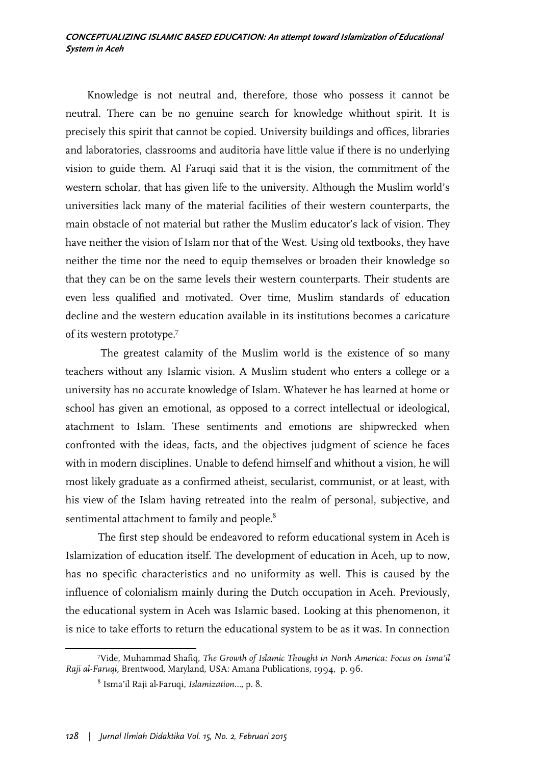Knowledge is not neutral and, therefore, those who possess it cannot be neutral. There can be no genuine search for knowledge whithout spirit. It is precisely this spirit that cannot be copied. University buildings and offices, libraries and laboratories, classrooms and auditoria have little value if there is no underlying vision to guide them. Al Faruqi said that it is the vision, the commitment of the western scholar, that has given life to the university. Although the Muslim world's universities lack many of the material facilities of their western counterparts, the main obstacle of not material but rather the Muslim educator's lack of vision. They have neither the vision of Islam nor that of the West. Using old textbooks, they have neither the time nor the need to equip themselves or broaden their knowledge so that they can be on the same levels their western counterparts. Their students are even less qualified and motivated. Over time, Muslim standards of education decline and the western education available in its institutions becomes a caricature of its western prototype.7

 The greatest calamity of the Muslim world is the existence of so many teachers without any Islamic vision. A Muslim student who enters a college or a university has no accurate knowledge of Islam. Whatever he has learned at home or school has given an emotional, as opposed to a correct intellectual or ideological, atachment to Islam. These sentiments and emotions are shipwrecked when confronted with the ideas, facts, and the objectives judgment of science he faces with in modern disciplines. Unable to defend himself and whithout a vision, he will most likely graduate as a confirmed atheist, secularist, communist, or at least, with his view of the Islam having retreated into the realm of personal, subjective, and sentimental attachment to family and people. $^8$ 

The first step should be endeavored to reform educational system in Aceh is Islamization of education itself. The development of education in Aceh, up to now, has no specific characteristics and no uniformity as well. This is caused by the influence of colonialism mainly during the Dutch occupation in Aceh. Previously, the educational system in Aceh was Islamic based. Looking at this phenomenon, it is nice to take efforts to return the educational system to be as it was. In connection

-

<sup>7</sup> Vide, Muhammad Shafiq, *The Growth of Islamic Thought in North America: Focus on Isma'il Raji al-Faruqi,* Brentwood, Maryland, USA: Amana Publications, 1994, p. 96.

<sup>8</sup> Isma'il Raji al-Faruqi, *Islamization…,* p. 8.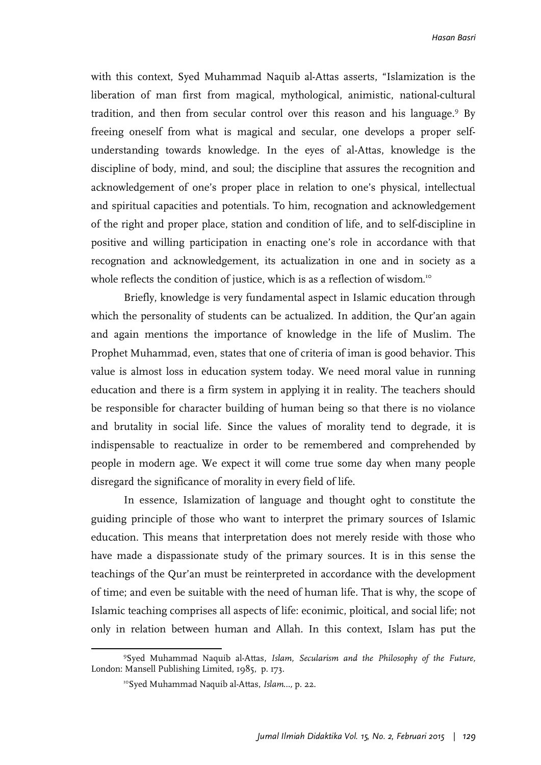with this context, Syed Muhammad Naquib al-Attas asserts, "Islamization is the liberation of man first from magical, mythological, animistic, national-cultural tradition, and then from secular control over this reason and his language.<sup>9</sup> By freeing oneself from what is magical and secular, one develops a proper selfunderstanding towards knowledge. In the eyes of al-Attas, knowledge is the discipline of body, mind, and soul; the discipline that assures the recognition and acknowledgement of one's proper place in relation to one's physical, intellectual and spiritual capacities and potentials. To him, recognation and acknowledgement of the right and proper place, station and condition of life, and to self-discipline in positive and willing participation in enacting one's role in accordance with that recognation and acknowledgement, its actualization in one and in society as a whole reflects the condition of justice, which is as a reflection of wisdom.<sup>10</sup>

Briefly, knowledge is very fundamental aspect in Islamic education through which the personality of students can be actualized. In addition, the Qur'an again and again mentions the importance of knowledge in the life of Muslim. The Prophet Muhammad, even, states that one of criteria of iman is good behavior. This value is almost loss in education system today. We need moral value in running education and there is a firm system in applying it in reality. The teachers should be responsible for character building of human being so that there is no violance and brutality in social life. Since the values of morality tend to degrade, it is indispensable to reactualize in order to be remembered and comprehended by people in modern age. We expect it will come true some day when many people disregard the significance of morality in every field of life.

In essence, Islamization of language and thought oght to constitute the guiding principle of those who want to interpret the primary sources of Islamic education. This means that interpretation does not merely reside with those who have made a dispassionate study of the primary sources. It is in this sense the teachings of the Qur'an must be reinterpreted in accordance with the development of time; and even be suitable with the need of human life. That is why, the scope of Islamic teaching comprises all aspects of life: econimic, ploitical, and social life; not only in relation between human and Allah. In this context, Islam has put the

 $\overline{a}$ 

<sup>9</sup> Syed Muhammad Naquib al-Attas, *Islam, Secularism and the Philosophy of the Future,*  London: Mansell Publishing Limited, 1985, p. 173.

<sup>10</sup>Syed Muhammad Naquib al-Attas, *Islam…,* p. 22.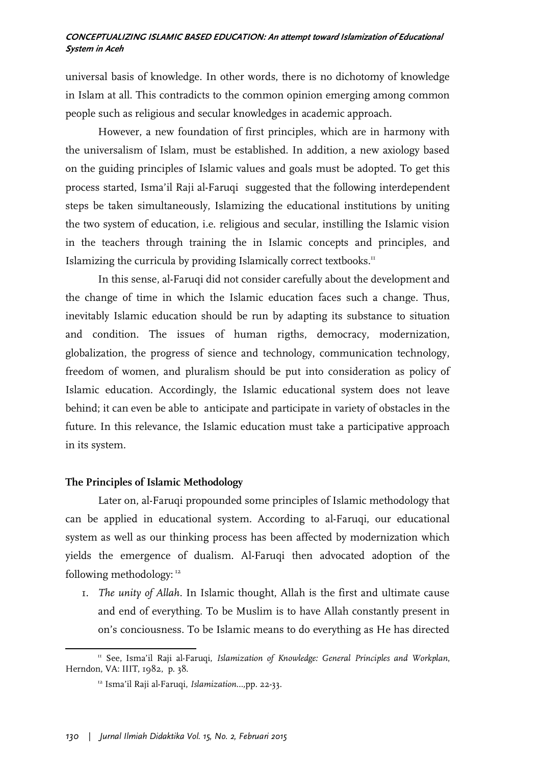universal basis of knowledge. In other words, there is no dichotomy of knowledge in Islam at all. This contradicts to the common opinion emerging among common people such as religious and secular knowledges in academic approach.

However, a new foundation of first principles, which are in harmony with the universalism of Islam, must be established. In addition, a new axiology based on the guiding principles of Islamic values and goals must be adopted. To get this process started, Isma'il Raji al-Faruqi suggested that the following interdependent steps be taken simultaneously, Islamizing the educational institutions by uniting the two system of education, i.e. religious and secular, instilling the Islamic vision in the teachers through training the in Islamic concepts and principles, and Islamizing the curricula by providing Islamically correct textbooks.<sup>11</sup>

In this sense, al-Faruqi did not consider carefully about the development and the change of time in which the Islamic education faces such a change. Thus, inevitably Islamic education should be run by adapting its substance to situation and condition. The issues of human rigths, democracy, modernization, globalization, the progress of sience and technology, communication technology, freedom of women, and pluralism should be put into consideration as policy of Islamic education. Accordingly, the Islamic educational system does not leave behind; it can even be able to anticipate and participate in variety of obstacles in the future. In this relevance, the Islamic education must take a participative approach in its system.

# **The Principles of Islamic Methodology**

Later on, al-Faruqi propounded some principles of Islamic methodology that can be applied in educational system. According to al-Faruqi, our educational system as well as our thinking process has been affected by modernization which yields the emergence of dualism. Al-Faruqi then advocated adoption of the following methodology: <sup>12</sup>

1. *The unity of Allah.* In Islamic thought, Allah is the first and ultimate cause and end of everything. To be Muslim is to have Allah constantly present in on's conciousness. To be Islamic means to do everything as He has directed

<sup>-</sup><sup>11</sup> See, Isma'il Raji al-Faruqi, *Islamization of Knowledge: General Principles and Workplan*, Herndon, VA: IIIT, 1982, p. 38.

<sup>12</sup> Isma'il Raji al-Faruqi, *Islamization…,*pp. 22-33.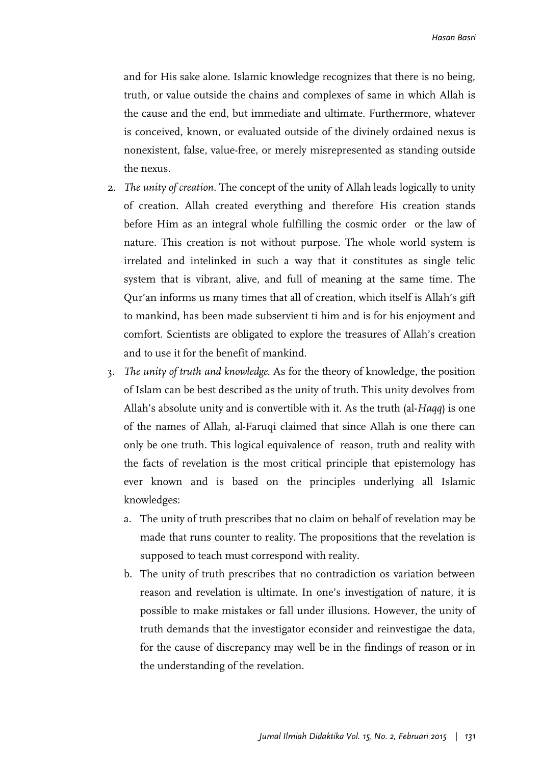and for His sake alone. Islamic knowledge recognizes that there is no being, truth, or value outside the chains and complexes of same in which Allah is the cause and the end, but immediate and ultimate. Furthermore, whatever is conceived, known, or evaluated outside of the divinely ordained nexus is nonexistent, false, value-free, or merely misrepresented as standing outside the nexus.

- 2. *The unity of creation*. The concept of the unity of Allah leads logically to unity of creation. Allah created everything and therefore His creation stands before Him as an integral whole fulfilling the cosmic order or the law of nature. This creation is not without purpose. The whole world system is irrelated and intelinked in such a way that it constitutes as single telic system that is vibrant, alive, and full of meaning at the same time. The Qur'an informs us many times that all of creation, which itself is Allah's gift to mankind, has been made subservient ti him and is for his enjoyment and comfort. Scientists are obligated to explore the treasures of Allah's creation and to use it for the benefit of mankind.
- 3. *The unity of truth and knowledge*. As for the theory of knowledge, the position of Islam can be best described as the unity of truth. This unity devolves from Allah's absolute unity and is convertible with it. As the truth (al-*Haqq*) is one of the names of Allah, al-Faruqi claimed that since Allah is one there can only be one truth. This logical equivalence of reason, truth and reality with the facts of revelation is the most critical principle that epistemology has ever known and is based on the principles underlying all Islamic knowledges:
	- a. The unity of truth prescribes that no claim on behalf of revelation may be made that runs counter to reality. The propositions that the revelation is supposed to teach must correspond with reality.
	- b. The unity of truth prescribes that no contradiction os variation between reason and revelation is ultimate. In one's investigation of nature, it is possible to make mistakes or fall under illusions. However, the unity of truth demands that the investigator econsider and reinvestigae the data, for the cause of discrepancy may well be in the findings of reason or in the understanding of the revelation.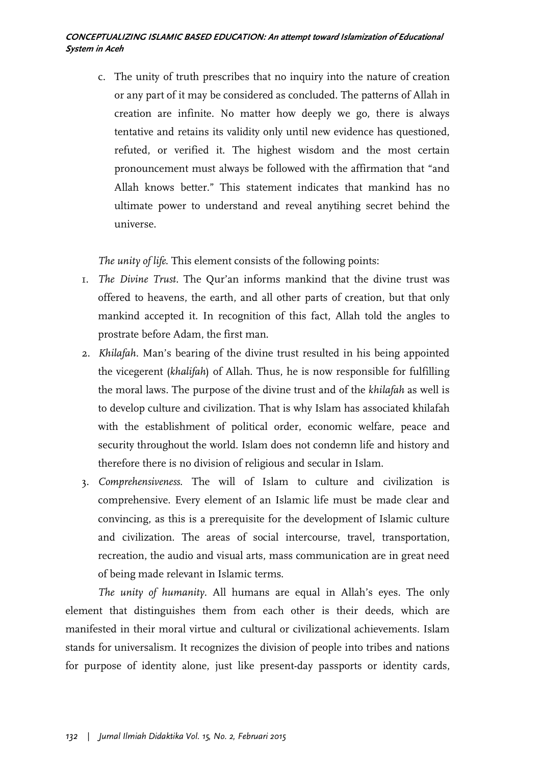c. The unity of truth prescribes that no inquiry into the nature of creation or any part of it may be considered as concluded. The patterns of Allah in creation are infinite. No matter how deeply we go, there is always tentative and retains its validity only until new evidence has questioned, refuted, or verified it. The highest wisdom and the most certain pronouncement must always be followed with the affirmation that "and Allah knows better." This statement indicates that mankind has no ultimate power to understand and reveal anytihing secret behind the universe.

*The unity of life*. This element consists of the following points:

- 1. *The Divine Trust.* The Qur'an informs mankind that the divine trust was offered to heavens, the earth, and all other parts of creation, but that only mankind accepted it. In recognition of this fact, Allah told the angles to prostrate before Adam, the first man.
- 2. *Khilafah*. Man's bearing of the divine trust resulted in his being appointed the vicegerent (*khalifah*) of Allah. Thus, he is now responsible for fulfilling the moral laws. The purpose of the divine trust and of the *khilafah* as well is to develop culture and civilization. That is why Islam has associated khilafah with the establishment of political order, economic welfare, peace and security throughout the world. Islam does not condemn life and history and therefore there is no division of religious and secular in Islam.
- 3. *Comprehensiveness*. The will of Islam to culture and civilization is comprehensive. Every element of an Islamic life must be made clear and convincing, as this is a prerequisite for the development of Islamic culture and civilization. The areas of social intercourse, travel, transportation, recreation, the audio and visual arts, mass communication are in great need of being made relevant in Islamic terms.

*The unity of humanity.* All humans are equal in Allah's eyes. The only element that distinguishes them from each other is their deeds, which are manifested in their moral virtue and cultural or civilizational achievements. Islam stands for universalism. It recognizes the division of people into tribes and nations for purpose of identity alone, just like present-day passports or identity cards,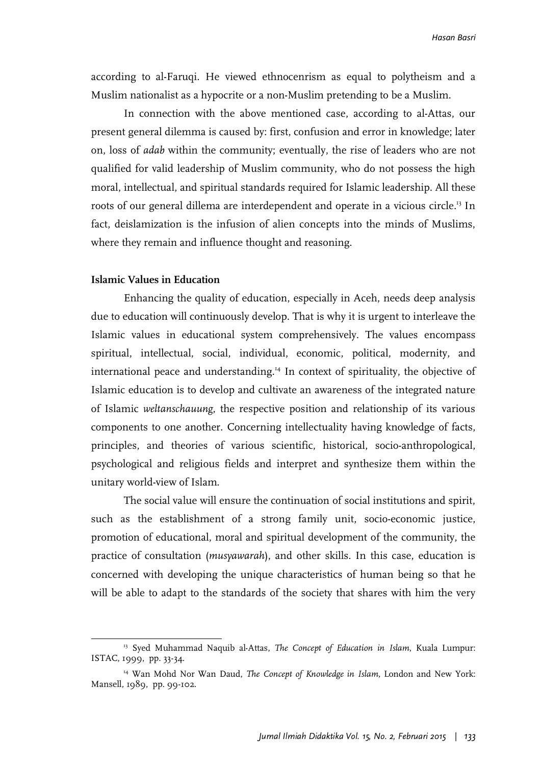according to al-Faruqi. He viewed ethnocenrism as equal to polytheism and a Muslim nationalist as a hypocrite or a non-Muslim pretending to be a Muslim.

In connection with the above mentioned case, according to al-Attas, our present general dilemma is caused by: first, confusion and error in knowledge; later on, loss of *adab* within the community; eventually, the rise of leaders who are not qualified for valid leadership of Muslim community, who do not possess the high moral, intellectual, and spiritual standards required for Islamic leadership. All these roots of our general dillema are interdependent and operate in a vicious circle.13 In fact, deislamization is the infusion of alien concepts into the minds of Muslims, where they remain and influence thought and reasoning.

# **Islamic Values in Education**

Enhancing the quality of education, especially in Aceh, needs deep analysis due to education will continuously develop. That is why it is urgent to interleave the Islamic values in educational system comprehensively. The values encompass spiritual, intellectual, social, individual, economic, political, modernity, and international peace and understanding.14 In context of spirituality, the objective of Islamic education is to develop and cultivate an awareness of the integrated nature of Islamic *weltanschauung*, the respective position and relationship of its various components to one another. Concerning intellectuality having knowledge of facts, principles, and theories of various scientific, historical, socio-anthropological, psychological and religious fields and interpret and synthesize them within the unitary world-view of Islam.

The social value will ensure the continuation of social institutions and spirit, such as the establishment of a strong family unit, socio-economic justice, promotion of educational, moral and spiritual development of the community, the practice of consultation (*musyawarah*), and other skills. In this case, education is concerned with developing the unique characteristics of human being so that he will be able to adapt to the standards of the society that shares with him the very

<sup>13</sup> Syed Muhammad Naquib al-Attas, *The Concept of Education in Islam*, Kuala Lumpur: ISTAC, 1999, pp. 33-34.

<sup>14</sup> Wan Mohd Nor Wan Daud, *The Concept of Knowledge in Islam*, London and New York: Mansell, 1989, pp. 99-102.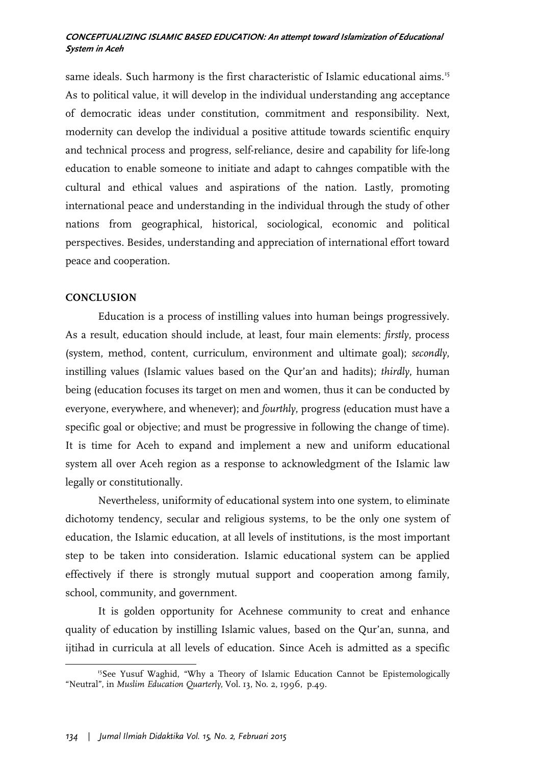same ideals. Such harmony is the first characteristic of Islamic educational aims.<sup>15</sup> As to political value, it will develop in the individual understanding ang acceptance of democratic ideas under constitution, commitment and responsibility. Next, modernity can develop the individual a positive attitude towards scientific enquiry and technical process and progress, self-reliance, desire and capability for life-long education to enable someone to initiate and adapt to cahnges compatible with the cultural and ethical values and aspirations of the nation. Lastly, promoting international peace and understanding in the individual through the study of other nations from geographical, historical, sociological, economic and political perspectives. Besides, understanding and appreciation of international effort toward peace and cooperation.

#### **CONCLUSION**

**.** 

Education is a process of instilling values into human beings progressively. As a result, education should include, at least, four main elements: *firstly*, process (system, method, content, curriculum, environment and ultimate goal); *secondly*, instilling values (Islamic values based on the Qur'an and hadits); *thirdly*, human being (education focuses its target on men and women, thus it can be conducted by everyone, everywhere, and whenever); and *fourthly*, progress (education must have a specific goal or objective; and must be progressive in following the change of time). It is time for Aceh to expand and implement a new and uniform educational system all over Aceh region as a response to acknowledgment of the Islamic law legally or constitutionally.

Nevertheless, uniformity of educational system into one system, to eliminate dichotomy tendency, secular and religious systems, to be the only one system of education, the Islamic education, at all levels of institutions, is the most important step to be taken into consideration. Islamic educational system can be applied effectively if there is strongly mutual support and cooperation among family, school, community, and government.

It is golden opportunity for Acehnese community to creat and enhance quality of education by instilling Islamic values, based on the Qur'an, sunna, and ijtihad in curricula at all levels of education. Since Aceh is admitted as a specific

<sup>&</sup>lt;sup>15</sup>See Yusuf Waghid, "Why a Theory of Islamic Education Cannot be Epistemologically "Neutral", in *Muslim Education Quarterly*, Vol. 13, No. 2, 1996, p.49.